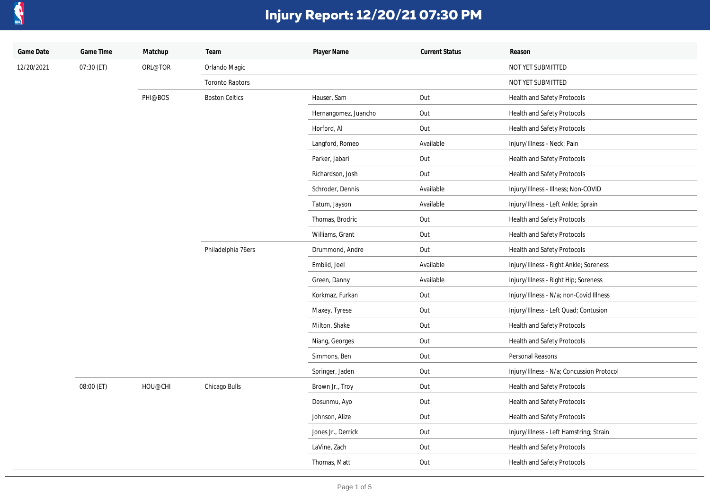

| Game Date  | Game Time  | Matchup | Team                   | Player Name          | <b>Current Status</b> | Reason                                    |
|------------|------------|---------|------------------------|----------------------|-----------------------|-------------------------------------------|
| 12/20/2021 | 07:30 (ET) | ORL@TOR | Orlando Magic          |                      |                       | NOT YET SUBMITTED                         |
|            |            |         | <b>Toronto Raptors</b> |                      |                       | NOT YET SUBMITTED                         |
|            |            | PHI@BOS | <b>Boston Celtics</b>  | Hauser, Sam          | Out                   | Health and Safety Protocols               |
|            |            |         |                        | Hernangomez, Juancho | Out                   | Health and Safety Protocols               |
|            |            |         |                        | Horford, Al          | Out                   | Health and Safety Protocols               |
|            |            |         |                        | Langford, Romeo      | Available             | Injury/Illness - Neck; Pain               |
|            |            |         |                        | Parker, Jabari       | Out                   | Health and Safety Protocols               |
|            |            |         |                        | Richardson, Josh     | Out                   | Health and Safety Protocols               |
|            |            |         |                        | Schroder, Dennis     | Available             | Injury/Illness - Illness; Non-COVID       |
|            |            |         |                        | Tatum, Jayson        | Available             | Injury/Illness - Left Ankle; Sprain       |
|            |            |         |                        | Thomas, Brodric      | Out                   | Health and Safety Protocols               |
|            |            |         |                        | Williams, Grant      | Out                   | Health and Safety Protocols               |
|            |            |         | Philadelphia 76ers     | Drummond, Andre      | Out                   | Health and Safety Protocols               |
|            |            |         |                        | Embiid, Joel         | Available             | Injury/Illness - Right Ankle; Soreness    |
|            |            |         |                        | Green, Danny         | Available             | Injury/Illness - Right Hip; Soreness      |
|            |            |         |                        | Korkmaz, Furkan      | Out                   | Injury/Illness - N/a; non-Covid Illness   |
|            |            |         |                        | Maxey, Tyrese        | Out                   | Injury/Illness - Left Quad; Contusion     |
|            |            |         |                        | Milton, Shake        | Out                   | Health and Safety Protocols               |
|            |            |         |                        | Niang, Georges       | Out                   | Health and Safety Protocols               |
|            |            |         |                        | Simmons, Ben         | Out                   | Personal Reasons                          |
|            |            |         |                        | Springer, Jaden      | Out                   | Injury/Illness - N/a; Concussion Protocol |
|            | 08:00 (ET) | HOU@CHI | Chicago Bulls          | Brown Jr., Troy      | Out                   | Health and Safety Protocols               |
|            |            |         |                        | Dosunmu, Ayo         | Out                   | Health and Safety Protocols               |
|            |            |         |                        | Johnson, Alize       | Out                   | Health and Safety Protocols               |
|            |            |         |                        | Jones Jr., Derrick   | Out                   | Injury/Illness - Left Hamstring; Strain   |
|            |            |         |                        | LaVine, Zach         | Out                   | Health and Safety Protocols               |
|            |            |         |                        | Thomas, Matt         | Out                   | Health and Safety Protocols               |
|            |            |         |                        |                      |                       |                                           |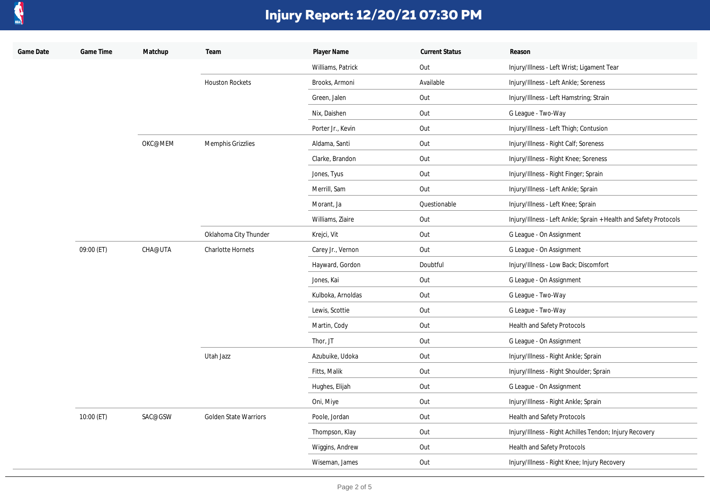

| Game Date | Game Time  | Matchup | Team                         | Player Name       | <b>Current Status</b> | Reason                                                            |
|-----------|------------|---------|------------------------------|-------------------|-----------------------|-------------------------------------------------------------------|
|           |            |         |                              | Williams, Patrick | Out                   | Injury/Illness - Left Wrist; Ligament Tear                        |
|           |            |         | <b>Houston Rockets</b>       | Brooks, Armoni    | Available             | Injury/Illness - Left Ankle; Soreness                             |
|           |            |         |                              | Green, Jalen      | Out                   | Injury/Illness - Left Hamstring; Strain                           |
|           |            |         |                              | Nix, Daishen      | Out                   | G League - Two-Way                                                |
|           |            |         |                              | Porter Jr., Kevin | Out                   | Injury/Illness - Left Thigh; Contusion                            |
|           |            | OKC@MEM | Memphis Grizzlies            | Aldama, Santi     | Out                   | Injury/Illness - Right Calf; Soreness                             |
|           |            |         |                              | Clarke, Brandon   | Out                   | Injury/Illness - Right Knee; Soreness                             |
|           |            |         |                              | Jones, Tyus       | Out                   | Injury/Illness - Right Finger; Sprain                             |
|           |            |         |                              | Merrill, Sam      | Out                   | Injury/Illness - Left Ankle; Sprain                               |
|           |            |         |                              | Morant, Ja        | Questionable          | Injury/Illness - Left Knee; Sprain                                |
|           |            |         |                              | Williams, Ziaire  | Out                   | Injury/Illness - Left Ankle; Sprain + Health and Safety Protocols |
|           |            |         | Oklahoma City Thunder        | Krejci, Vit       | Out                   | G League - On Assignment                                          |
|           | 09:00 (ET) | CHA@UTA | Charlotte Hornets            | Carey Jr., Vernon | Out                   | G League - On Assignment                                          |
|           |            |         |                              | Hayward, Gordon   | Doubtful              | Injury/Illness - Low Back; Discomfort                             |
|           |            |         |                              | Jones, Kai        | Out                   | G League - On Assignment                                          |
|           |            |         |                              | Kulboka, Arnoldas | Out                   | G League - Two-Way                                                |
|           |            |         |                              | Lewis, Scottie    | Out                   | G League - Two-Way                                                |
|           |            |         |                              | Martin, Cody      | Out                   | Health and Safety Protocols                                       |
|           |            |         |                              | Thor, JT          | Out                   | G League - On Assignment                                          |
|           |            |         | Utah Jazz                    | Azubuike, Udoka   | Out                   | Injury/Illness - Right Ankle; Sprain                              |
|           |            |         |                              | Fitts, Malik      | Out                   | Injury/Illness - Right Shoulder; Sprain                           |
|           |            |         |                              | Hughes, Elijah    | Out                   | G League - On Assignment                                          |
|           |            |         |                              | Oni, Miye         | Out                   | Injury/Illness - Right Ankle; Sprain                              |
|           | 10:00 (ET) | SAC@GSW | <b>Golden State Warriors</b> | Poole, Jordan     | Out                   | Health and Safety Protocols                                       |
|           |            |         |                              | Thompson, Klay    | Out                   | Injury/Illness - Right Achilles Tendon; Injury Recovery           |
|           |            |         |                              | Wiggins, Andrew   | Out                   | Health and Safety Protocols                                       |
|           |            |         |                              | Wiseman, James    | Out                   | Injury/Illness - Right Knee; Injury Recovery                      |
|           |            |         |                              |                   |                       |                                                                   |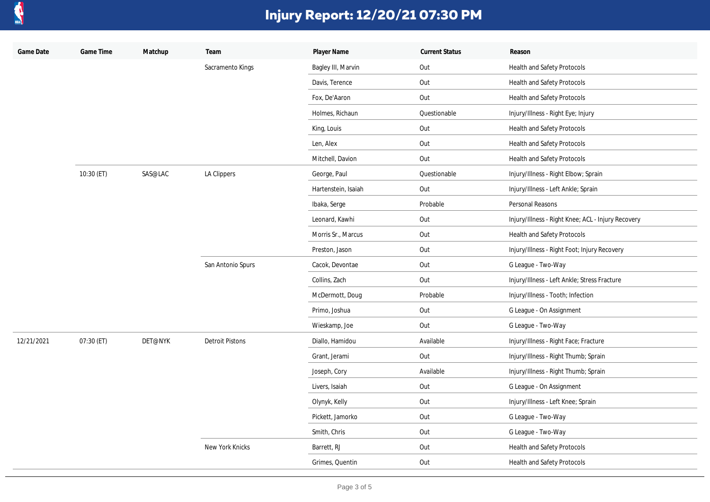

| Game Date  | Game Time  | Matchup | Team                   | Player Name         | <b>Current Status</b> | Reason                                             |
|------------|------------|---------|------------------------|---------------------|-----------------------|----------------------------------------------------|
|            |            |         | Sacramento Kings       | Bagley III, Marvin  | Out                   | Health and Safety Protocols                        |
|            |            |         |                        | Davis, Terence      | Out                   | Health and Safety Protocols                        |
|            |            |         |                        | Fox, De'Aaron       | Out                   | Health and Safety Protocols                        |
|            |            |         |                        | Holmes, Richaun     | Questionable          | Injury/Illness - Right Eye; Injury                 |
|            |            |         |                        | King, Louis         | Out                   | Health and Safety Protocols                        |
|            |            |         |                        | Len, Alex           | Out                   | Health and Safety Protocols                        |
|            |            |         |                        | Mitchell, Davion    | Out                   | Health and Safety Protocols                        |
|            | 10:30 (ET) | SAS@LAC | LA Clippers            | George, Paul        | Questionable          | Injury/Illness - Right Elbow; Sprain               |
|            |            |         |                        | Hartenstein, Isaiah | Out                   | Injury/Illness - Left Ankle; Sprain                |
|            |            |         |                        | Ibaka, Serge        | Probable              | Personal Reasons                                   |
|            |            |         |                        | Leonard, Kawhi      | Out                   | Injury/Illness - Right Knee; ACL - Injury Recovery |
|            |            |         |                        | Morris Sr., Marcus  | Out                   | Health and Safety Protocols                        |
|            |            |         |                        | Preston, Jason      | Out                   | Injury/Illness - Right Foot; Injury Recovery       |
|            |            |         | San Antonio Spurs      | Cacok, Devontae     | Out                   | G League - Two-Way                                 |
|            |            |         |                        | Collins, Zach       | Out                   | Injury/Illness - Left Ankle; Stress Fracture       |
|            |            |         |                        | McDermott, Doug     | Probable              | Injury/Illness - Tooth; Infection                  |
|            |            |         |                        | Primo, Joshua       | Out                   | G League - On Assignment                           |
|            |            |         |                        | Wieskamp, Joe       | Out                   | G League - Two-Way                                 |
| 12/21/2021 | 07:30 (ET) | DET@NYK | <b>Detroit Pistons</b> | Diallo, Hamidou     | Available             | Injury/Illness - Right Face; Fracture              |
|            |            |         |                        | Grant, Jerami       | Out                   | Injury/Illness - Right Thumb; Sprain               |
|            |            |         |                        | Joseph, Cory        | Available             | Injury/Illness - Right Thumb; Sprain               |
|            |            |         |                        | Livers, Isaiah      | Out                   | G League - On Assignment                           |
|            |            |         |                        | Olynyk, Kelly       | Out                   | Injury/Illness - Left Knee; Sprain                 |
|            |            |         |                        | Pickett, Jamorko    | Out                   | G League - Two-Way                                 |
|            |            |         |                        | Smith, Chris        | Out                   | G League - Two-Way                                 |
|            |            |         | New York Knicks        | Barrett, RJ         | Out                   | Health and Safety Protocols                        |
|            |            |         |                        | Grimes, Quentin     | Out                   | Health and Safety Protocols                        |
|            |            |         |                        |                     |                       |                                                    |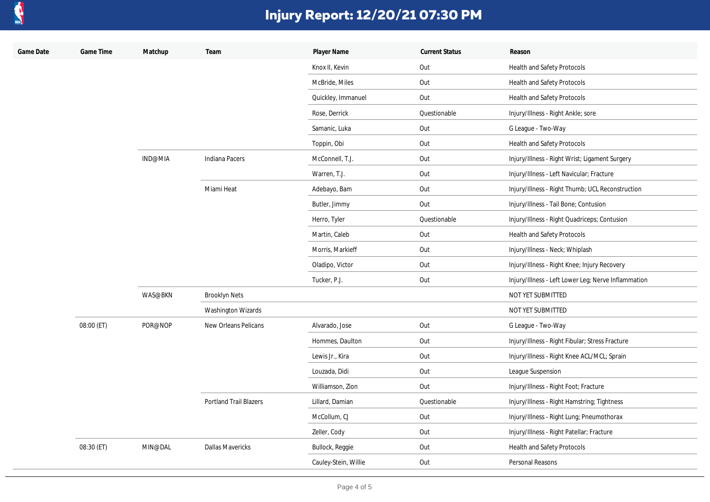

| Game Date | Game Time  | Matchup | Team                          | Player Name          | <b>Current Status</b> | Reason                                              |
|-----------|------------|---------|-------------------------------|----------------------|-----------------------|-----------------------------------------------------|
|           |            |         |                               | Knox II, Kevin       | Out                   | Health and Safety Protocols                         |
|           |            |         |                               | McBride, Miles       | Out                   | Health and Safety Protocols                         |
|           |            |         |                               | Quickley, Immanuel   | Out                   | Health and Safety Protocols                         |
|           |            |         |                               | Rose, Derrick        | Questionable          | Injury/Illness - Right Ankle; sore                  |
|           |            |         |                               | Samanic, Luka        | Out                   | G League - Two-Way                                  |
|           |            |         |                               | Toppin, Obi          | Out                   | Health and Safety Protocols                         |
|           |            | IND@MIA | Indiana Pacers                | McConnell, T.J.      | Out                   | Injury/Illness - Right Wrist; Ligament Surgery      |
|           |            |         |                               | Warren, T.J.         | Out                   | Injury/Illness - Left Navicular; Fracture           |
|           |            |         | Miami Heat                    | Adebayo, Bam         | Out                   | Injury/Illness - Right Thumb; UCL Reconstruction    |
|           |            |         |                               | Butler, Jimmy        | Out                   | Injury/Illness - Tail Bone; Contusion               |
|           |            |         |                               | Herro, Tyler         | Questionable          | Injury/Illness - Right Quadriceps; Contusion        |
|           |            |         |                               | Martin, Caleb        | Out                   | Health and Safety Protocols                         |
|           |            |         |                               | Morris, Markieff     | Out                   | Injury/Illness - Neck; Whiplash                     |
|           |            |         |                               | Oladipo, Victor      | Out                   | Injury/Illness - Right Knee; Injury Recovery        |
|           |            |         |                               | Tucker, P.J.         | Out                   | Injury/Illness - Left Lower Leg; Nerve Inflammation |
|           |            | WAS@BKN | <b>Brooklyn Nets</b>          |                      |                       | NOT YET SUBMITTED                                   |
|           |            |         | Washington Wizards            |                      |                       | NOT YET SUBMITTED                                   |
|           | 08:00 (ET) | POR@NOP | New Orleans Pelicans          | Alvarado, Jose       | Out                   | G League - Two-Way                                  |
|           |            |         |                               | Hommes, Daulton      | Out                   | Injury/Illness - Right Fibular; Stress Fracture     |
|           |            |         |                               | Lewis Jr., Kira      | Out                   | Injury/Illness - Right Knee ACL/MCL; Sprain         |
|           |            |         |                               | Louzada, Didi        | Out                   | League Suspension                                   |
|           |            |         |                               | Williamson, Zion     | Out                   | Injury/Illness - Right Foot; Fracture               |
|           |            |         | <b>Portland Trail Blazers</b> | Lillard, Damian      | Questionable          | Injury/Illness - Right Hamstring; Tightness         |
|           |            |         |                               | McCollum, CJ         | Out                   | Injury/Illness - Right Lung; Pneumothorax           |
|           |            |         |                               | Zeller, Cody         | Out                   | Injury/Illness - Right Patellar; Fracture           |
|           | 08:30 (ET) | MIN@DAL | <b>Dallas Mavericks</b>       | Bullock, Reggie      | Out                   | Health and Safety Protocols                         |
|           |            |         |                               | Cauley-Stein, Willie | Out                   | Personal Reasons                                    |
|           |            |         |                               |                      |                       |                                                     |